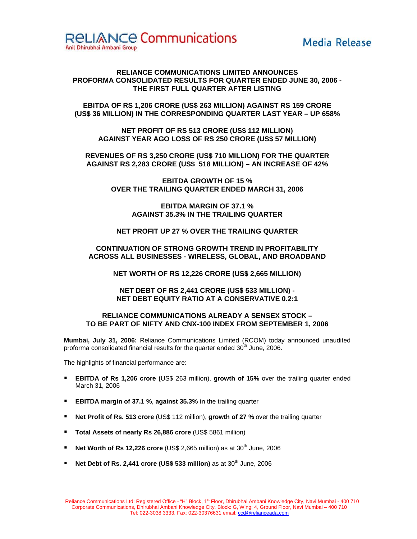

# **RELIANCE COMMUNICATIONS LIMITED ANNOUNCES PROFORMA CONSOLIDATED RESULTS FOR QUARTER ENDED JUNE 30, 2006 - THE FIRST FULL QUARTER AFTER LISTING**

**EBITDA OF RS 1,206 CRORE (US\$ 263 MILLION) AGAINST RS 159 CRORE (US\$ 36 MILLION) IN THE CORRESPONDING QUARTER LAST YEAR – UP 658%** 

**NET PROFIT OF RS 513 CRORE (US\$ 112 MILLION) AGAINST YEAR AGO LOSS OF RS 250 CRORE (US\$ 57 MILLION)** 

**REVENUES OF RS 3,250 CRORE (US\$ 710 MILLION) FOR THE QUARTER AGAINST RS 2,283 CRORE (US\$ 518 MILLION) – AN INCREASE OF 42%** 

> **EBITDA GROWTH OF 15 % OVER THE TRAILING QUARTER ENDED MARCH 31, 2006**

> > **EBITDA MARGIN OF 37.1 % AGAINST 35.3% IN THE TRAILING QUARTER**

**NET PROFIT UP 27 % OVER THE TRAILING QUARTER** 

# **CONTINUATION OF STRONG GROWTH TREND IN PROFITABILITY ACROSS ALL BUSINESSES - WIRELESS, GLOBAL, AND BROADBAND**

**NET WORTH OF RS 12,226 CRORE (US\$ 2,665 MILLION)** 

# **NET DEBT OF RS 2,441 CRORE (US\$ 533 MILLION) - NET DEBT EQUITY RATIO AT A CONSERVATIVE 0.2:1**

## **RELIANCE COMMUNICATIONS ALREADY A SENSEX STOCK – TO BE PART OF NIFTY AND CNX-100 INDEX FROM SEPTEMBER 1, 2006**

**Mumbai, July 31, 2006:** Reliance Communications Limited (RCOM) today announced unaudited proforma consolidated financial results for the quarter ended  $30<sup>th</sup>$  June, 2006.

The highlights of financial performance are:

- **EBITDA of Rs 1,206 crore (**US\$ 263 million), **growth of 15%** over the trailing quarter ended March 31, 2006
- **EBITDA margin of 37.1 %**, **against 35.3% in** the trailing quarter
- **Net Profit of Rs. 513 crore** (US\$ 112 million), growth of 27 % over the trailing quarter
- **Total Assets of nearly Rs 26,886 crore** (US\$ 5861 million)
- **Net Worth of Rs 12,226 crore** (US\$ 2,665 million) as at 30<sup>th</sup> June, 2006
- **Net Debt of Rs. 2,441 crore (US\$ 533 million)** as at 30<sup>th</sup> June, 2006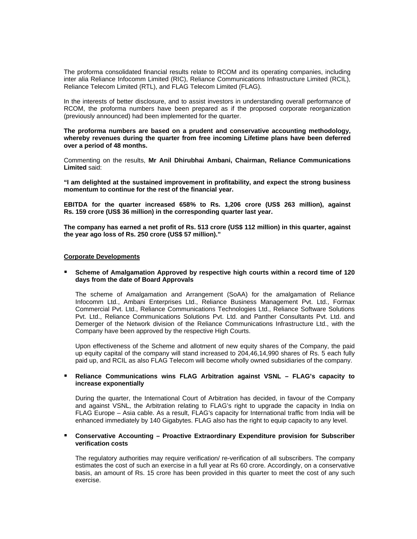The proforma consolidated financial results relate to RCOM and its operating companies, including inter alia Reliance Infocomm Limited (RIC), Reliance Communications Infrastructure Limited (RCIL), Reliance Telecom Limited (RTL), and FLAG Telecom Limited (FLAG).

In the interests of better disclosure, and to assist investors in understanding overall performance of RCOM, the proforma numbers have been prepared as if the proposed corporate reorganization (previously announced) had been implemented for the quarter.

**The proforma numbers are based on a prudent and conservative accounting methodology, whereby revenues during the quarter from free incoming Lifetime plans have been deferred over a period of 48 months.** 

Commenting on the results, **Mr Anil Dhirubhai Ambani, Chairman, Reliance Communications Limited** said:

**"I am delighted at the sustained improvement in profitability, and expect the strong business momentum to continue for the rest of the financial year.** 

**EBITDA for the quarter increased 658% to Rs. 1,206 crore (US\$ 263 million), against Rs. 159 crore (US\$ 36 million) in the corresponding quarter last year.** 

**The company has earned a net profit of Rs. 513 crore (US\$ 112 million) in this quarter, against the year ago loss of Rs. 250 crore (US\$ 57 million)."** 

### **Corporate Developments**

## **Scheme of Amalgamation Approved by respective high courts within a record time of 120 days from the date of Board Approvals**

The scheme of Amalgamation and Arrangement (SoAA) for the amalgamation of Reliance Infocomm Ltd., Ambani Enterprises Ltd., Reliance Business Management Pvt. Ltd., Formax Commercial Pvt. Ltd., Reliance Communications Technologies Ltd., Reliance Software Solutions Pvt. Ltd., Reliance Communications Solutions Pvt. Ltd. and Panther Consultants Pvt. Ltd. and Demerger of the Network division of the Reliance Communications Infrastructure Ltd., with the Company have been approved by the respective High Courts.

Upon effectiveness of the Scheme and allotment of new equity shares of the Company, the paid up equity capital of the company will stand increased to 204,46,14,990 shares of Rs. 5 each fully paid up, and RCIL as also FLAG Telecom will become wholly owned subsidiaries of the company.

## **Reliance Communications wins FLAG Arbitration against VSNL – FLAG's capacity to increase exponentially**

During the quarter, the International Court of Arbitration has decided, in favour of the Company and against VSNL, the Arbitration relating to FLAG's right to upgrade the capacity in India on FLAG Europe – Asia cable. As a result, FLAG's capacity for International traffic from India will be enhanced immediately by 140 Gigabytes. FLAG also has the right to equip capacity to any level.

## **Conservative Accounting – Proactive Extraordinary Expenditure provision for Subscriber verification costs**

The regulatory authorities may require verification/ re-verification of all subscribers. The company estimates the cost of such an exercise in a full year at Rs 60 crore. Accordingly, on a conservative basis, an amount of Rs. 15 crore has been provided in this quarter to meet the cost of any such exercise.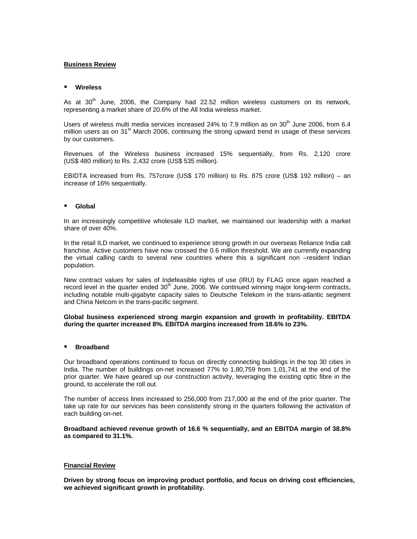## **Business Review**

### **Wireless**

As at  $30<sup>th</sup>$  June, 2006, the Company had 22.52 million wireless customers on its network, representing a market share of 20.6% of the All India wireless market.

Users of wireless multi media services increased 24% to 7.9 million as on  $30<sup>th</sup>$  June 2006, from 6.4 million users as on 31 $\mathrm{^{st}}$  March 2006, continuing the strong upward trend in usage of these services by our customers.

Revenues of the Wireless business increased 15% sequentially, from Rs. 2,120 crore (US\$ 480 million) to Rs. 2,432 crore (US\$ 535 million).

EBIDTA increased from Rs. 757crore (US\$ 170 million) to Rs. 875 crore (US\$ 192 million) – an increase of 16% sequentially.

## **Global**

In an increasingly competitive wholesale ILD market, we maintained our leadership with a market share of over 40%.

In the retail ILD market, we continued to experience strong growth in our overseas Reliance India call franchise. Active customers have now crossed the 0.6 million threshold. We are currently expanding the virtual calling cards to several new countries where this a significant non –resident Indian population.

New contract values for sales of Indefeasible rights of use (IRU) by FLAG once again reached a record level in the quarter ended  $30<sup>th</sup>$  June, 2006. We continued winning major long-term contracts, including notable multi-gigabyte capacity sales to Deutsche Telekom in the trans-atlantic segment and China Netcom in the trans-pacific segment.

## **Global business experienced strong margin expansion and growth in profitability. EBITDA during the quarter increased 8%. EBITDA margins increased from 18.6% to 23%.**

## **Broadband**

Our broadband operations continued to focus on directly connecting buildings in the top 30 cities in India. The number of buildings on-net increased 77% to 1,80,759 from 1,01,741 at the end of the prior quarter. We have geared up our construction activity, leveraging the existing optic fibre in the ground, to accelerate the roll out.

The number of access lines increased to 256,000 from 217,000 at the end of the prior quarter. The take up rate for our services has been consistently strong in the quarters following the activation of each building on-net.

**Broadband achieved revenue growth of 16.6 % sequentially, and an EBITDA margin of 38.8% as compared to 31.1%.**

### **Financial Review**

**Driven by strong focus on improving product portfolio, and focus on driving cost efficiencies, we achieved significant growth in profitability.**